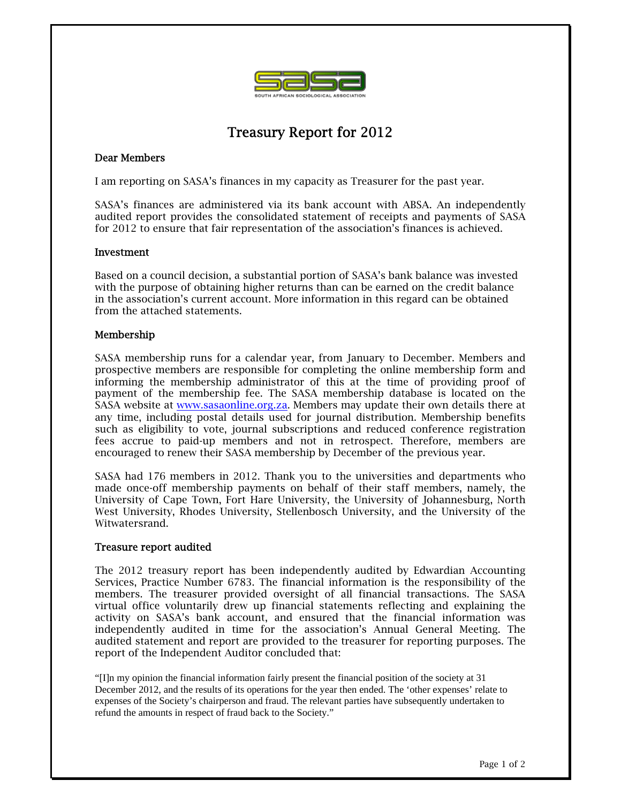

# Treasury Report for 2012

## Dear Members

I am reporting on SASA's finances in my capacity as Treasurer for the past year.

SASA's finances are administered via its bank account with ABSA. An independently audited report provides the consolidated statement of receipts and payments of SASA for 2012 to ensure that fair representation of the association's finances is achieved.

#### Investment

Based on a council decision, a substantial portion of SASA's bank balance was invested with the purpose of obtaining higher returns than can be earned on the credit balance in the association's current account. More information in this regard can be obtained from the attached statements.

### Membership

SASA membership runs for a calendar year, from January to December. Members and prospective members are responsible for completing the online membership form and informing the membership administrator of this at the time of providing proof of payment of the membership fee. The SASA membership database is located on the SASA website at www.sasaonline.org.za. Members may update their own details there at any time, including postal details used for journal distribution. Membership benefits such as eligibility to vote, journal subscriptions and reduced conference registration fees accrue to paid-up members and not in retrospect. Therefore, members are encouraged to renew their SASA membership by December of the previous year.

SASA had 176 members in 2012. Thank you to the universities and departments who made once-off membership payments on behalf of their staff members, namely, the University of Cape Town, Fort Hare University, the University of Johannesburg, North West University, Rhodes University, Stellenbosch University, and the University of the Witwatersrand.

### Treasure report audited

The 2012 treasury report has been independently audited by Edwardian Accounting Services, Practice Number 6783. The financial information is the responsibility of the members. The treasurer provided oversight of all financial transactions. The SASA virtual office voluntarily drew up financial statements reflecting and explaining the activity on SASA's bank account, and ensured that the financial information was independently audited in time for the association's Annual General Meeting. The audited statement and report are provided to the treasurer for reporting purposes. The report of the Independent Auditor concluded that:

"[I]n my opinion the financial information fairly present the financial position of the society at 31 December 2012, and the results of its operations for the year then ended. The 'other expenses' relate to expenses of the Society's chairperson and fraud. The relevant parties have subsequently undertaken to refund the amounts in respect of fraud back to the Society."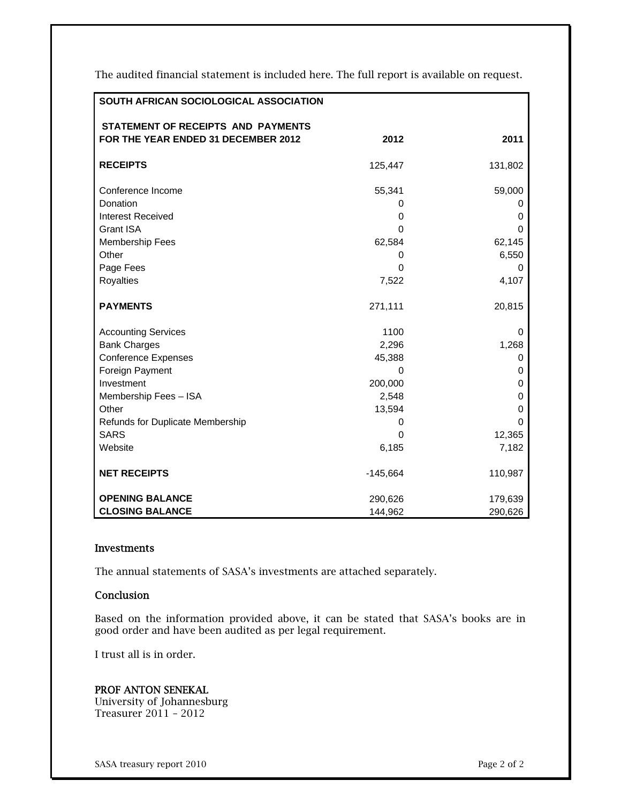The audited financial statement is included here. The full report is available on request.

| SOUTH AFRICAN SOCIOLOGICAL ASSOCIATION |            |         |
|----------------------------------------|------------|---------|
| STATEMENT OF RECEIPTS AND PAYMENTS     |            |         |
| FOR THE YEAR ENDED 31 DECEMBER 2012    | 2012       | 2011    |
| <b>RECEIPTS</b>                        | 125,447    | 131,802 |
| Conference Income                      | 55,341     | 59,000  |
| Donation                               | 0          | 0       |
| <b>Interest Received</b>               | 0          | 0       |
| <b>Grant ISA</b>                       | 0          | 0       |
| Membership Fees                        | 62,584     | 62,145  |
| Other                                  | 0          | 6,550   |
| Page Fees                              | 0          | 0       |
| Royalties                              | 7,522      | 4,107   |
| <b>PAYMENTS</b>                        | 271,111    | 20,815  |
| <b>Accounting Services</b>             | 1100       | 0       |
| <b>Bank Charges</b>                    | 2,296      | 1,268   |
| <b>Conference Expenses</b>             | 45,388     | 0       |
| Foreign Payment                        | $\Omega$   | 0       |
| Investment                             | 200,000    | 0       |
| Membership Fees - ISA                  | 2,548      | 0       |
| Other                                  | 13,594     | 0       |
| Refunds for Duplicate Membership       | 0          | 0       |
| <b>SARS</b>                            | 0          | 12,365  |
| Website                                | 6,185      | 7,182   |
| <b>NET RECEIPTS</b>                    | $-145,664$ | 110,987 |
| <b>OPENING BALANCE</b>                 | 290,626    | 179,639 |
| <b>CLOSING BALANCE</b>                 | 144,962    | 290,626 |

#### Investments

The annual statements of SASA's investments are attached separately.

#### Conclusion

Based on the information provided above, it can be stated that SASA's books are in good order and have been audited as per legal requirement.

I trust all is in order.

### PROF ANTON SENEKAL

University of Johannesburg Treasurer 2011 – 2012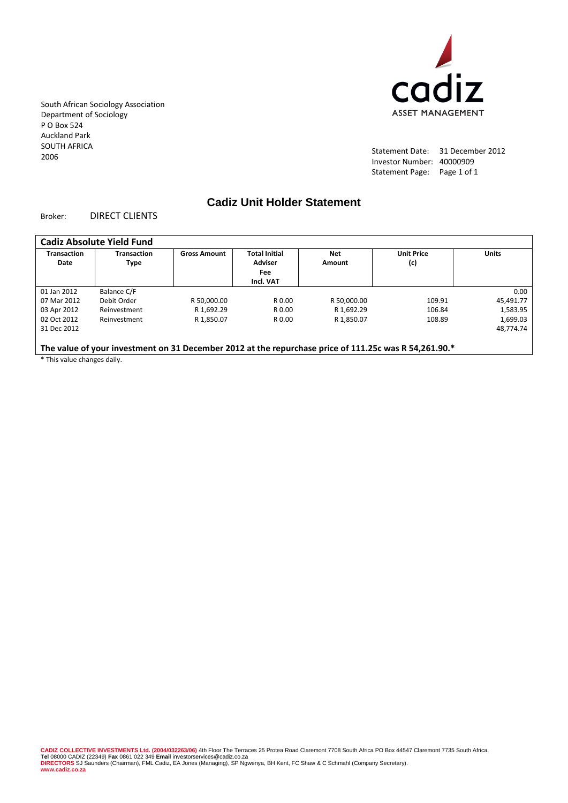cadiz **ASSET MANAGEMENT** 

South African Sociology Association Department of Sociology P O Box 524 Auckland Park SOUTH AFRICA 2006

Statement Date: 31 December 2012 Investor Number: 40000909 Statement Page: Page 1 of 1

# **Cadiz Unit Holder Statement**

#### Broker: DIRECT CLIENTS

| <b>Transaction</b><br>Date | <b>Transaction</b><br><b>Type</b> | <b>Gross Amount</b> | <b>Total Initial</b><br><b>Adviser</b> | <b>Net</b><br>Amount | <b>Unit Price</b><br>(c) | <b>Units</b> |
|----------------------------|-----------------------------------|---------------------|----------------------------------------|----------------------|--------------------------|--------------|
|                            |                                   |                     | Fee<br>Incl. VAT                       |                      |                          |              |
| 01 Jan 2012                | Balance C/F                       |                     |                                        |                      |                          | 0.00         |
| 07 Mar 2012                | Debit Order                       | R 50,000.00         | R 0.00                                 | R 50,000.00          | 109.91                   | 45,491.77    |
| 03 Apr 2012                | Reinvestment                      | R 1,692.29          | R 0.00                                 | R 1.692.29           | 106.84                   | 1,583.95     |
| 02 Oct 2012                | Reinvestment                      | R 1.850.07          | R 0.00                                 | R 1.850.07           | 108.89                   | 1,699.03     |
| 31 Dec 2012                |                                   |                     |                                        |                      |                          | 48.774.74    |
|                            |                                   |                     |                                        |                      |                          |              |

\* This value changes daily.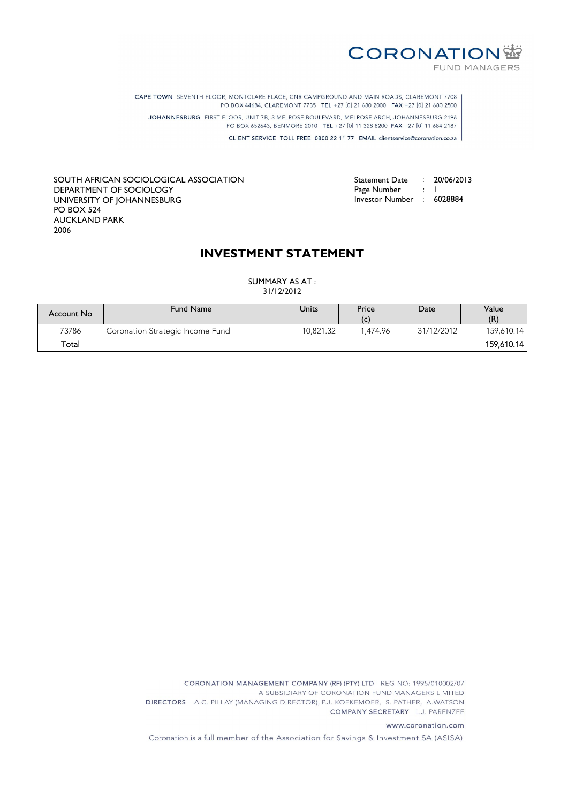

Statement Date : 20/06/2013

Page Number : 1 Investor Number : 6028884

CAPE TOWN SEVENTH FLOOR, MONTCLARE PLACE, CNR CAMPGROUND AND MAIN ROADS, CLAREMONT 7708 PO BOX 44684, CLAREMONT 7735 TEL +27 [0] 21 680 2000 FAX +27 [0] 21 680 2500 JOHANNESBURG FIRST FLOOR, UNIT 7B, 3 MELROSE BOULEVARD, MELROSE ARCH, JOHANNESBURG 2196 PO BOX 652643, BENMORE 2010 TEL +27 [0] 11 328 8200 FAX +27 [0] 11 684 2187 CLIENT SERVICE TOLL FREE 0800 22 11 77 EMAIL clientservice@coronation.co.za

SOUTH AFRICAN SOCIOLOGICAL ASSOCIATION DEPARTMENT OF SOCIOLOGY UNIVERSITY OF JOHANNESBURG PO BOX 524 AUCKLAND PARK 2006

# **INVESTMENT STATEMENT**

SUMMARY AS AT : 31/12/2012

| Account No | <b>Fund Name</b>                 | Units     | Price<br>(c) | Date       | Value<br>(R) |
|------------|----------------------------------|-----------|--------------|------------|--------------|
| 73786      | Coronation Strategic Income Fund | 10.821.32 | 474.96       | 31/12/2012 | 159,610.14   |
| Total      |                                  |           |              |            | 159,610.14   |

CORONATION MANAGEMENT COMPANY (RF) (PTY) LTD REG NO: 1995/010002/07 A SUBSIDIARY OF CORONATION FUND MANAGERS LIMITED DIRECTORS A.C. PILLAY (MANAGING DIRECTOR), P.J. KOEKEMOER, S. PATHER, A.WATSON COMPANY SECRETARY L.J. PARENZEE

www.coronation.com

Coronation is a full member of the Association for Savings & Investment SA (ASISA)